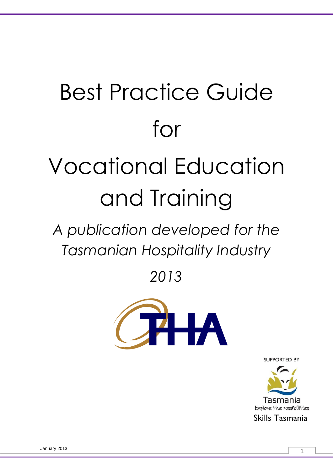# Best Practice Guide for Vocational Education and Training

*A publication developed for the Tasmanian Hospitality Industry*

*2013*



**SUPPORTED BY** 

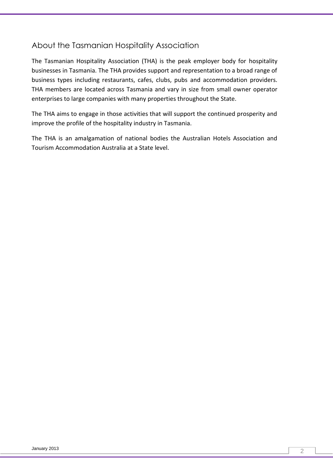### About the Tasmanian Hospitality Association

The Tasmanian Hospitality Association (THA) is the peak employer body for hospitality businesses in Tasmania. The THA provides support and representation to a broad range of business types including restaurants, cafes, clubs, pubs and accommodation providers. THA members are located across Tasmania and vary in size from small owner operator enterprises to large companies with many properties throughout the State.

The THA aims to engage in those activities that will support the continued prosperity and improve the profile of the hospitality industry in Tasmania.

The THA is an amalgamation of national bodies the Australian Hotels Association and Tourism Accommodation Australia at a State level.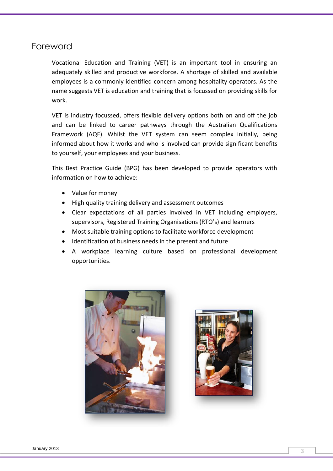### Foreword

Vocational Education and Training (VET) is an important tool in ensuring an adequately skilled and productive workforce. A shortage of skilled and available employees is a commonly identified concern among hospitality operators. As the name suggests VET is education and training that is focussed on providing skills for work.

VET is industry focussed, offers flexible delivery options both on and off the job and can be linked to career pathways through the Australian Qualifications Framework (AQF). Whilst the VET system can seem complex initially, being informed about how it works and who is involved can provide significant benefits to yourself, your employees and your business.

This Best Practice Guide (BPG) has been developed to provide operators with information on how to achieve:

- Value for money
- High quality training delivery and assessment outcomes
- Clear expectations of all parties involved in VET including employers, supervisors, Registered Training Organisations (RTO's) and learners
- Most suitable training options to facilitate workforce development
- Identification of business needs in the present and future
- A workplace learning culture based on professional development opportunities.



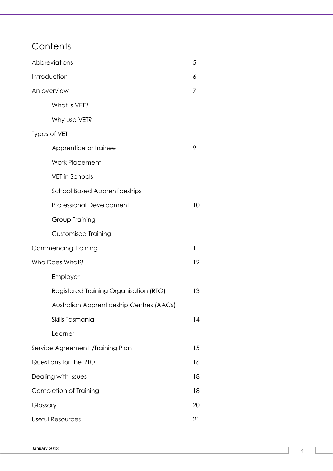# **Contents**

| Abbreviations                            |    |  |
|------------------------------------------|----|--|
| Introduction                             |    |  |
| An overview                              |    |  |
| What is VET?                             |    |  |
| Why use VET?                             |    |  |
| Types of VET                             |    |  |
| Apprentice or trainee                    | 9  |  |
| <b>Work Placement</b>                    |    |  |
| <b>VET</b> in Schools                    |    |  |
| <b>School Based Apprenticeships</b>      |    |  |
| Professional Development                 | 10 |  |
| Group Training                           |    |  |
| <b>Customised Training</b>               |    |  |
| <b>Commencing Training</b>               | 11 |  |
| Who Does What?                           |    |  |
| Employer                                 |    |  |
| Registered Training Organisation (RTO)   | 13 |  |
| Australian Apprenticeship Centres (AACs) |    |  |
| Skills Tasmania                          | 14 |  |
| Learner                                  |    |  |
| Service Agreement /Training Plan         | 15 |  |
| Questions for the RTO                    |    |  |
| Dealing with Issues                      |    |  |
| Completion of Training                   |    |  |
| Glossary                                 |    |  |
| Useful Resources                         |    |  |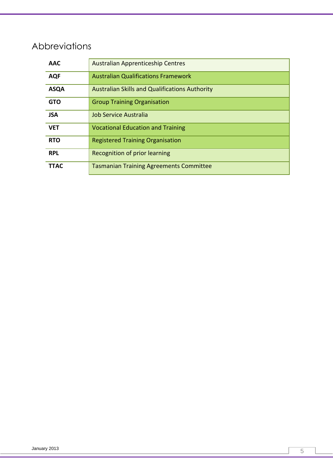# Abbreviations

| <b>AAC</b>  | Australian Apprenticeship Centres                     |
|-------------|-------------------------------------------------------|
| <b>AQF</b>  | <b>Australian Qualifications Framework</b>            |
| <b>ASQA</b> | <b>Australian Skills and Qualifications Authority</b> |
| <b>GTO</b>  | <b>Group Training Organisation</b>                    |
| <b>JSA</b>  | Job Service Australia                                 |
| <b>VET</b>  | <b>Vocational Education and Training</b>              |
| <b>RTO</b>  | <b>Registered Training Organisation</b>               |
| <b>RPL</b>  | Recognition of prior learning                         |
| <b>TTAC</b> | <b>Tasmanian Training Agreements Committee</b>        |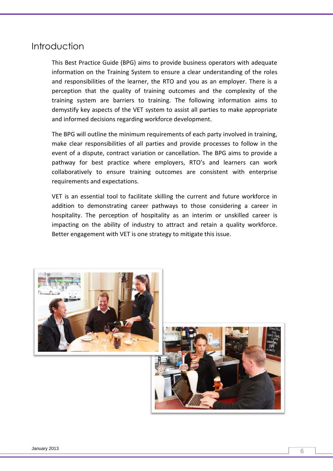### **Introduction**

This Best Practice Guide (BPG) aims to provide business operators with adequate information on the Training System to ensure a clear understanding of the roles and responsibilities of the learner, the RTO and you as an employer. There is a perception that the quality of training outcomes and the complexity of the training system are barriers to training. The following information aims to demystify key aspects of the VET system to assist all parties to make appropriate and informed decisions regarding workforce development.

The BPG will outline the minimum requirements of each party involved in training, make clear responsibilities of all parties and provide processes to follow in the event of a dispute, contract variation or cancellation. The BPG aims to provide a pathway for best practice where employers, RTO's and learners can work collaboratively to ensure training outcomes are consistent with enterprise requirements and expectations.

VET is an essential tool to facilitate skilling the current and future workforce in addition to demonstrating career pathways to those considering a career in hospitality. The perception of hospitality as an interim or unskilled career is impacting on the ability of industry to attract and retain a quality workforce. Better engagement with VET is one strategy to mitigate this issue.

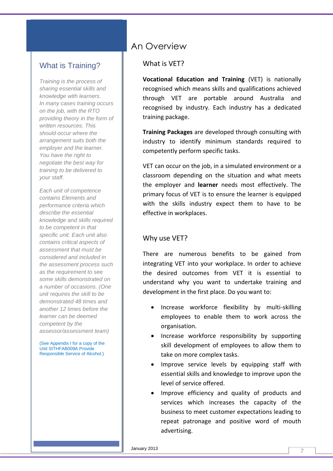### What is Training?

*Training is the process of sharing essential skills and knowledge with learners. In many cases training occurs on the job, with the RTO providing theory in the form of written resources. This should occur where the arrangement suits both the employer and the learner. You have the right to negotiate the best way for training to be delivered to your staff.*

*Each unit of competence contains Elements and performance criteria which describe the essential knowledge and skills required to be competent in that specific unit. Each unit also contains critical aspects of assessment that must be considered and included in the assessment process such as the requirement to see some skills demonstrated on a number of occasions. (One unit requires the skill to be demonstrated 48 times and another 12 times before the learner can be deemed competent by the assessor/assessment team)*

(See Appendix I for a copy of the Unit SITHFAB009A Provide Responsible Service of Alcohol.)

# An Overview

#### What is VET?

**Vocational Education and Training** (VET) is nationally recognised which means skills and qualifications achieved through VET are portable around Australia and recognised by industry. Each industry has a dedicated training package.

**Training Packages** are developed through consulting with industry to identify minimum standards required to competently perform specific tasks.

VET can occur on the job, in a simulated environment or a classroom depending on the situation and what meets the employer and **learner** needs most effectively. The primary focus of VET is to ensure the learner is equipped with the skills industry expect them to have to be effective in workplaces.

#### Why use VET?

There are numerous benefits to be gained from integrating VET into your workplace. In order to achieve the desired outcomes from VET it is essential to understand why you want to undertake training and development in the first place. Do you want to:

- Increase workforce flexibility by multi-skilling employees to enable them to work across the organisation.
- Increase workforce responsibility by supporting skill development of employees to allow them to take on more complex tasks.
- Improve service levels by equipping staff with essential skills and knowledge to improve upon the level of service offered.
- Improve efficiency and quality of products and services which increases the capacity of the business to meet customer expectations leading to repeat patronage and positive word of mouth advertising.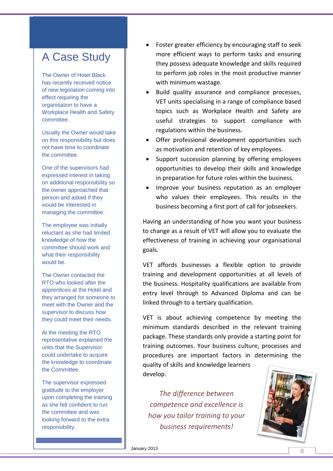# A Case Study

The Owner of Hotel Black has recently received notice of new legislation coming into effect requiring the organisation to have a Workplace Health and Safety committee.

Usually the Owner would take on this responsibility but does not have time to coordinate the committee.

One of the supervisors had expressed interest in taking on additional responsibility so the owner approached that person and asked if they would be interested in managing the committee.

The employee was initially reluctant as she had limited knowledge of how the committee should work and what their responsibility would be.

The Owner contacted the RTO who looked after the apprentices at the Hotel and they arranged for someone to meet with the Owner and the supervisor to discuss how they could meet their needs.

At the meeting the RTO representative explained the units that the Supervisor could undertake to acquire the knowledge to coordinate the Committee.

The supervisor expressed gratitude to the employer upon completing the training as she felt confident to run the committee and was looking forward to the extra responsibility.

- Foster greater efficiency by encouraging staff to seek more efficient ways to perform tasks and ensuring they possess adequate knowledge and skills required to perform job roles in the most productive manner with minimum wastage.
- Build quality assurance and compliance processes, VET units specialising in a range of compliance based topics such as Workplace Health and Safety are useful strategies to support compliance with regulations within the business.
- Offer professional development opportunities such as motivation and retention of key employees.
- Support succession planning by offering employees opportunities to develop their skills and knowledge in preparation for future roles within the business.
- Improve your business reputation as an employer who values their employees. This results in the business becoming a first port of call for jobseekers.

Having an understanding of how you want your business to change as a result of VET will allow you to evaluate the effectiveness of training in achieving your organisational goals.

VET affords businesses a flexible option to provide training and development opportunities at all levels of the business. Hospitality qualifications are available from entry level through to Advanced Diploma and can be linked through to a tertiary qualification.

VET is about achieving competence by meeting the minimum standards described in the relevant training package. These standards only provide a starting point for training outcomes. Your business culture, processes and procedures are important factors in determining the quality of skills and knowledge learners develop.

*The difference between competence and excellence is how you tailor training to your business requirements!*

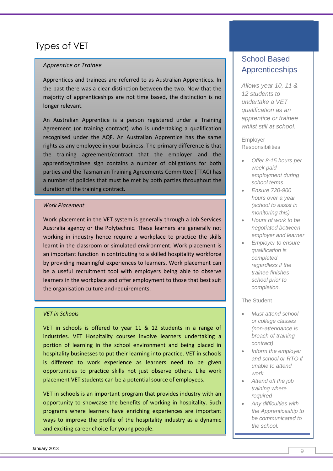# Types of VET

#### *Apprentice or Trainee*

Apprentices and trainees are referred to as Australian Apprentices. In the past there was a clear distinction between the two. Now that the majority of apprenticeships are not time based, the distinction is no longer relevant.

An Australian Apprentice is a person registered under a Training Agreement (or training contract) who is undertaking a qualification recognised under the AQF. An Australian Apprentice has the same rights as any employee in your business. The primary difference is that the training agreement/contract that the employer and the apprentice/trainee sign contains a number of obligations for both parties and the Tasmanian Training Agreements Committee (TTAC) has a number of policies that must be met by both parties throughout the duration of the training contract.

#### *Work Placement*

Work placement in the VET system is generally through a Job Services Australia agency or the Polytechnic. These learners are generally not working in industry hence require a workplace to practice the skills learnt in the classroom or simulated environment. Work placement is an important function in contributing to a skilled hospitality workforce by providing meaningful experiences to learners. Work placement can be a useful recruitment tool with employers being able to observe learners in the workplace and offer employment to those that best suit the organisation culture and requirements.

#### *VET in Schools*

VET in schools is offered to year 11 & 12 students in a range of industries. VET Hospitality courses involve learners undertaking a portion of learning in the school environment and being placed in hospitality businesses to put their learning into practice. VET in schools is different to work experience as learners need to be given opportunities to practice skills not just observe others. Like work placement VET students can be a potential source of employees.

VET in schools is an important program that provides industry with an opportunity to showcase the benefits of working in hospitality. Such programs where learners have enriching experiences are important ways to improve the profile of the hospitality industry as a dynamic and exciting career choice for young people.

### School Based Apprenticeships

*Allows year 10, 11 & 12 students to undertake a VET qualification as an apprentice or trainee whilst still at school.*

Employer **Responsibilities** 

- *Offer 8-15 hours per week paid employment during school terms*
- *Ensure 720-900 hours over a year (school to assist in monitoring this)*
- *Hours of work to be negotiated between employer and learner*
- *Employer to ensure qualification is completed regardless if the trainee finishes school prior to completion.*

#### The Student

- *Must attend school or college classes (non-attendance is breach of training contract)*
- *Inform the employer and school or RTO if unable to attend work*
- *Attend off the job training where required*
- *Any difficulties with the Apprenticeship to be communicated to the school.*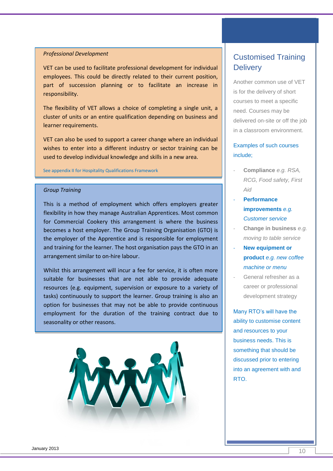#### *Professional Development*

VET can be used to facilitate professional development for individual employees. This could be directly related to their current position, part of succession planning or to facilitate an increase in responsibility.

The flexibility of VET allows a choice of completing a single unit, a cluster of units or an entire qualification depending on business and learner requirements.

VET can also be used to support a career change where an individual wishes to enter into a different industry or sector training can be used to develop individual knowledge and skills in a new area.

See appendix II for Hospitality Qualifications Framework

#### *Group Training*

This is a method of employment which offers employers greater flexibility in how they manage Australian Apprentices. Most common for Commercial Cookery this arrangement is where the business becomes a host employer. The Group Training Organisation (GTO) is the employer of the Apprentice and is responsible for employment and training for the learner. The host organisation pays the GTO in an arrangement similar to on-hire labour.

Whilst this arrangement will incur a fee for service, it is often more suitable for businesses that are not able to provide adequate resources (e.g. equipment, supervision or exposure to a variety of tasks) continuously to support the learner. Group training is also an option for businesses that may not be able to provide continuous employment for the duration of the training contract due to seasonality or other reasons.



### Customised Training **Delivery**

Another common use of VET is for the delivery of short courses to meet a specific need. Courses may be delivered on-site or off the job in a classroom environment.

#### Examples of such courses include;

- **Compliance** *e.g. RSA, RCG, Food safety, First Aid*
- **Performance improvements** *e.g. Customer service*
- **Change in business** *e.g. moving to table service*
- **New equipment or product** *e.g. new coffee machine or menu*
- General refresher as a career or professional development strategy

Many RTO's will have the ability to customise content and resources to your business needs. This is something that should be discussed prior to entering into an agreement with and RTO.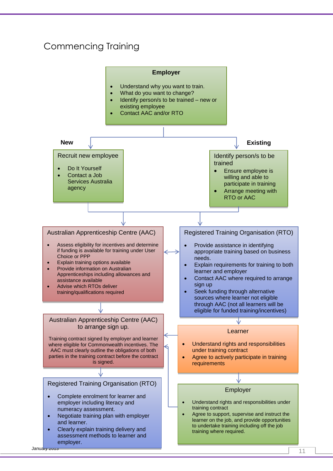# Commencing Training

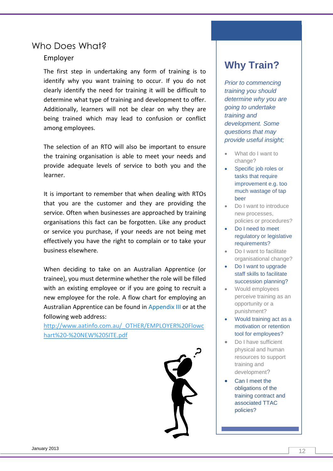### Who Does What?

#### Employer

The first step in undertaking any form of training is to identify why you want training to occur. If you do not clearly identify the need for training it will be difficult to determine what type of training and development to offer. Additionally, learners will not be clear on why they are being trained which may lead to confusion or conflict among employees.

The selection of an RTO will also be important to ensure the training organisation is able to meet your needs and provide adequate levels of service to both you and the learner.

It is important to remember that when dealing with RTOs that you are the customer and they are providing the service. Often when businesses are approached by training organisations this fact can be forgotten. Like any product or service you purchase, if your needs are not being met effectively you have the right to complain or to take your business elsewhere.

When deciding to take on an Australian Apprentice (or trainee), you must determine whether the role will be filled with an existing employee or if you are going to recruit a new employee for the role. A flow chart for employing an Australian Apprentice can be found in Appendix III or at the following web address:

[http://www.aatinfo.com.au/\\_OTHER/EMPLOYER%20Flowc](http://www.aatinfo.com.au/_OTHER/EMPLOYER%20Flowchart%20-%20NEW%20SITE.pdf) [hart%20-%20NEW%20SITE.pdf](http://www.aatinfo.com.au/_OTHER/EMPLOYER%20Flowchart%20-%20NEW%20SITE.pdf)



# **Why Train?**

*Prior to commencing training you should determine why you are going to undertake training and development. Some questions that may provide useful insight;*

- What do I want to change?
- Specific job roles or tasks that require improvement e.g. too much wastage of tap beer
- Do I want to introduce new processes, policies or procedures?
- Do I need to meet regulatory or legislative requirements?
- Do I want to facilitate organisational change?
- Do I want to upgrade staff skills to facilitate succession planning?
- Would employees perceive training as an opportunity or a punishment?
- Would training act as a motivation or retention tool for employees?
- Do I have sufficient physical and human resources to support training and development?
- Can I meet the obligations of the training contract and associated TTAC policies?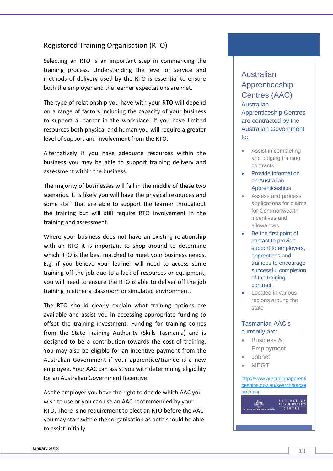#### Registered Training Organisation (RTO)

Selecting an RTO is an important step in commencing the training process. Understanding the level of service and methods of delivery used by the RTO is essential to ensure both the employer and the learner expectations are met.

The type of relationship you have with your RTO will depend on a range of factors including the capacity of your business to support a learner in the workplace. If you have limited resources both physical and human you will require a greater level of support and involvement from the RTO.

Alternatively if you have adequate resources within the business you may be able to support training delivery and assessment within the business.

The majority of businesses will fall in the middle of these two scenarios. It is likely you will have the physical resources and some staff that are able to support the learner throughout the training but will still require RTO involvement in the training and assessment.

Where your business does not have an existing relationship with an RTO it is important to shop around to determine which RTO is the best matched to meet your business needs. E.g. if you believe your learner will need to access some training off the job due to a lack of resources or equipment, you will need to ensure the RTO is able to deliver off the job training in either a classroom or simulated environment.

The RTO should clearly explain what training options are available and assist you in accessing appropriate funding to offset the training investment. Funding for training comes from the State Training Authority (Skills Tasmania) and is designed to be a contribution towards the cost of training. You may also be eligible for an incentive payment from the Australian Government if your apprentice/trainee is a new employee. Your AAC can assist you with determining eligibility for an Australian Government Incentive.

As the employer you have the right to decide which AAC you wish to use or you can use an AAC recommended by your RTO. There is no requirement to elect an RTO before the AAC you may start with either organisation as both should be able to assist initially.

### Australian Apprenticeship Centres (AAC) **Australian** Apprenticeship Centres are contracted by the Australian Government to:

- Assist in completing and lodging training contracts
- Provide information on Australian **Apprenticeships**
- Assess and process applications for claims for Commonwealth incentives and allowances
- Be the first point of contact to provide support to employers, apprentices and trainees to encourage successful completion of the training contract.
- Located in various regions around the state

#### Tasmanian AAC's currently are:

- **Business & Employment**
- Jobnet
- MEGT

 $\mathbf{E}$ 

#### [http://www.australianapprenti](http://www.australianapprenticeships.gov.au/search/aacsearch.asp) [ceships.gov.au/search/aacse](http://www.australianapprenticeships.gov.au/search/aacsearch.asp) [arch.asp](http://www.australianapprenticeships.gov.au/search/aacsearch.asp)

AUSTRALIAN<br>APPRENTICESHIPS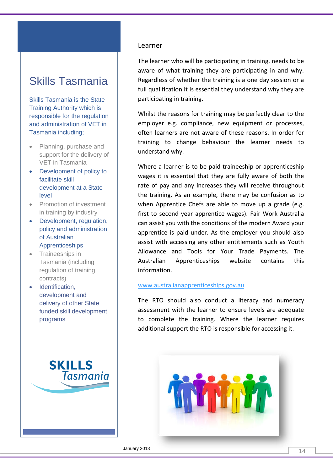# Skills Tasmania

Skills Tasmania is the State Training Authority which is responsible for the regulation and administration of VET in Tasmania including;

- Planning, purchase and support for the delivery of VET in Tasmania
- Development of policy to facilitate skill development at a State level
- Promotion of investment in training by industry
- Development, regulation, policy and administration of Australian Apprenticeships
- Traineeships in Tasmania (including regulation of training contracts)
- Identification. development and delivery of other State funded skill development programs



#### Learner

The learner who will be participating in training, needs to be aware of what training they are participating in and why. Regardless of whether the training is a one day session or a full qualification it is essential they understand why they are participating in training.

Whilst the reasons for training may be perfectly clear to the employer e.g. compliance, new equipment or processes, often learners are not aware of these reasons. In order for training to change behaviour the learner needs to understand why.

Where a learner is to be paid traineeship or apprenticeship wages it is essential that they are fully aware of both the rate of pay and any increases they will receive throughout the training. As an example, there may be confusion as to when Apprentice Chefs are able to move up a grade (e.g. first to second year apprentice wages). Fair Work Australia can assist you with the conditions of the modern Award your apprentice is paid under. As the employer you should also assist with accessing any other entitlements such as Youth Allowance and Tools for Your Trade Payments. The Australian Apprenticeships website contains this information.

#### [www.australianapprenticeships.gov.au](http://www.australianapprenticeships.gov.au/)

The RTO should also conduct a literacy and numeracy assessment with the learner to ensure levels are adequate to complete the training. Where the learner requires additional support the RTO is responsible for accessing it.

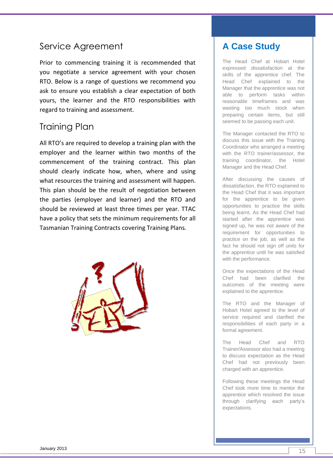# Service Agreement

Prior to commencing training it is recommended that you negotiate a service agreement with your chosen RTO. Below is a range of questions we recommend you ask to ensure you establish a clear expectation of both yours, the learner and the RTO responsibilities with regard to training and assessment.

### Training Plan

All RTO's are required to develop a training plan with the employer and the learner within two months of the commencement of the training contract. This plan should clearly indicate how, when, where and using what resources the training and assessment will happen. This plan should be the result of negotiation between the parties (employer and learner) and the RTO and should be reviewed at least three times per year. TTAC have a policy that sets the minimum requirements for all Tasmanian Training Contracts covering Training Plans.



# **A Case Study**

The Head Chef at Hobart Hotel expressed dissatisfaction at the skills of the apprentice chef. The Head Chef explained to the Manager that the apprentice was not able to perform tasks within reasonable timeframes and was wasting too much stock when preparing certain items, but still seemed to be passing each unit.

The Manager contacted the RTO to discuss this issue with the Training Coordinator who arranged a meeting with the RTO trainer/assessor, the training coordinator, the Hotel Manager and the Head Chef.

After discussing the causes of dissatisfaction, the RTO explained to the Head Chef that it was important for the apprentice to be given opportunities to practice the skills being learnt. As the Head Chef had started after the apprentice was signed up, he was not aware of the requirement for opportunities to practice on the job, as well as the fact he should not sign off units for the apprentice until he was satisfied with the performance.

Once the expectations of the Head Chef had been clarified the outcomes of the meeting were explained to the apprentice.

The RTO and the Manager of Hobart Hotel agreed to the level of service required and clarified the responsibilities of each party in a formal agreement.

The Head Chef and RTO Trainer/Assessor also had a meeting to discuss expectation as the Head Chef had not previously been charged with an apprentice.

Following these meetings the Head Chef took more time to mentor the apprentice which resolved the issue through clarifying each party's expectations.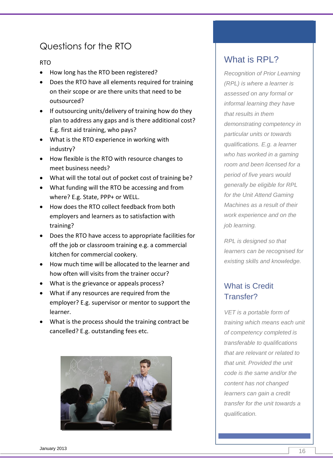# Questions for the RTO

#### RTO

- How long has the RTO been registered?
- Does the RTO have all elements required for training on their scope or are there units that need to be outsourced?
- If outsourcing units/delivery of training how do they plan to address any gaps and is there additional cost? E.g. first aid training, who pays?
- What is the RTO experience in working with industry?
- How flexible is the RTO with resource changes to meet business needs?
- What will the total out of pocket cost of training be?
- What funding will the RTO be accessing and from where? E.g. State, PPP+ or WELL.
- How does the RTO collect feedback from both employers and learners as to satisfaction with training?
- Does the RTO have access to appropriate facilities for off the job or classroom training e.g. a commercial kitchen for commercial cookery.
- How much time will be allocated to the learner and how often will visits from the trainer occur?
- What is the grievance or appeals process?
- What if any resources are required from the employer? E.g. supervisor or mentor to support the learner.
- What is the process should the training contract be cancelled? E.g. outstanding fees etc.



# What is RPL?

*Recognition of Prior Learning (RPL) is where a learner is assessed on any formal or informal learning they have that results in them demonstrating competency in particular units or towards qualifications. E.g. a learner who has worked in a gaming room and been licensed for a period of five years would generally be eligible for RPL for the Unit Attend Gaming Machines as a result of their work experience and on the job learning.*

*RPL is designed so that learners can be recognised for existing skills and knowledge.*

### What is Credit Transfer?

*VET is a portable form of training which means each unit of competency completed is transferable to qualifications that are relevant or related to that unit. Provided the unit code is the same and/or the content has not changed learners can gain a credit transfer for the unit towards a qualification.*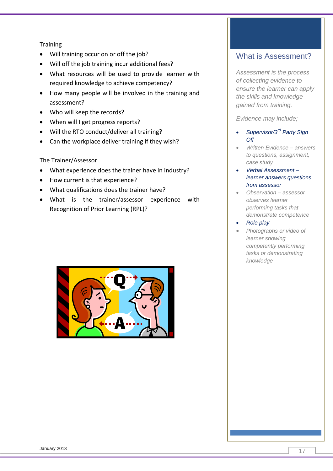#### **Training**

- Will training occur on or off the job?
- Will off the job training incur additional fees?
- What resources will be used to provide learner with required knowledge to achieve competency?
- How many people will be involved in the training and assessment?
- Who will keep the records?
- When will I get progress reports?
- Will the RTO conduct/deliver all training?
- Can the workplace deliver training if they wish?

#### The Trainer/Assessor

- What experience does the trainer have in industry?
- How current is that experience?
- What qualifications does the trainer have?
- What is the trainer/assessor experience with Recognition of Prior Learning (RPL)?



### What is Assessment?

*Assessment is the process of collecting evidence to ensure the learner can apply the skills and knowledge gained from training.*

*Evidence may include;*

- *Supervisor/3rd Party Sign Off*
- *Written Evidence – answers to questions, assignment, case study*
- *Verbal Assessment – learner answers questions from assessor*
- *Observation – assessor observes learner performing tasks that demonstrate competence*
- *Role play*
- *Photographs or video of learner showing competently performing tasks or demonstrating knowledge*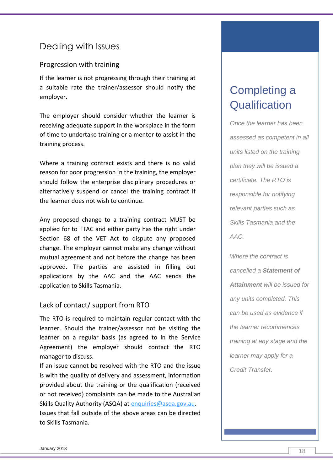# Dealing with Issues

#### Progression with training

If the learner is not progressing through their training at a suitable rate the trainer/assessor should notify the employer.

The employer should consider whether the learner is receiving adequate support in the workplace in the form of time to undertake training or a mentor to assist in the training process.

Where a training contract exists and there is no valid reason for poor progression in the training, the employer should follow the enterprise disciplinary procedures or alternatively suspend or cancel the training contract if the learner does not wish to continue.

Any proposed change to a training contract MUST be applied for to TTAC and either party has the right under Section 68 of the VET Act to dispute any proposed change. The employer cannot make any change without mutual agreement and not before the change has been approved. The parties are assisted in filling out applications by the AAC and the AAC sends the application to Skills Tasmania.

#### Lack of contact/ support from RTO

The RTO is required to maintain regular contact with the learner. Should the trainer/assessor not be visiting the learner on a regular basis (as agreed to in the Service Agreement) the employer should contact the RTO manager to discuss.

If an issue cannot be resolved with the RTO and the issue is with the quality of delivery and assessment, information provided about the training or the qualification (received or not received) complaints can be made to the Australian Skills Quality Authority (ASQA) at [enquiries@asqa.gov.au.](mailto:enquiries@asqa.gov.au) Issues that fall outside of the above areas can be directed to Skills Tasmania.

# Completing a **Qualification**

*Once the learner has been assessed as competent in all units listed on the training plan they will be issued a certificate. The RTO is responsible for notifying relevant parties such as Skills Tasmania and the AAC.*

*Where the contract is cancelled a Statement of Attainment will be issued for any units completed. This can be used as evidence if the learner recommences training at any stage and the learner may apply for a Credit Transfer.*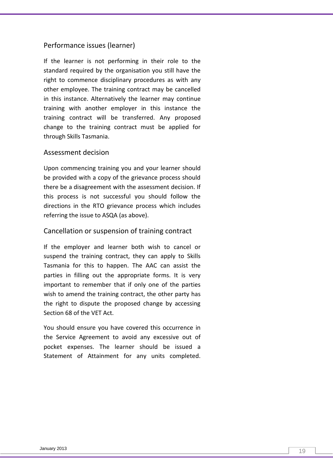#### Performance issues (learner)

If the learner is not performing in their role to the standard required by the organisation you still have the right to commence disciplinary procedures as with any other employee. The training contract may be cancelled in this instance. Alternatively the learner may continue training with another employer in this instance the training contract will be transferred. Any proposed change to the training contract must be applied for through Skills Tasmania.

#### Assessment decision

Upon commencing training you and your learner should be provided with a copy of the grievance process should there be a disagreement with the assessment decision. If this process is not successful you should follow the directions in the RTO grievance process which includes referring the issue to ASQA (as above).

#### Cancellation or suspension of training contract

If the employer and learner both wish to cancel or suspend the training contract, they can apply to Skills Tasmania for this to happen. The AAC can assist the parties in filling out the appropriate forms. It is very important to remember that if only one of the parties wish to amend the training contract, the other party has the right to dispute the proposed change by accessing Section 68 of the VET Act.

You should ensure you have covered this occurrence in the Service Agreement to avoid any excessive out of pocket expenses. The learner should be issued a Statement of Attainment for any units completed.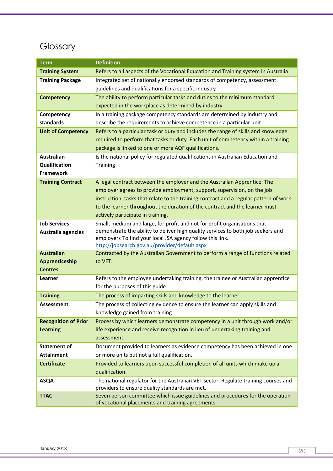# Glossary

| <b>Term</b>                 | <b>Definition</b>                                                                                                                                             |
|-----------------------------|---------------------------------------------------------------------------------------------------------------------------------------------------------------|
| <b>Training System</b>      | Refers to all aspects of the Vocational Education and Training system in Australia                                                                            |
| <b>Training Package</b>     | Integrated set of nationally endorsed standards of competency, assessment                                                                                     |
|                             | guidelines and qualifications for a specific industry                                                                                                         |
| <b>Competency</b>           | The ability to perform particular tasks and duties to the minimum standard                                                                                    |
|                             | expected in the workplace as determined by industry                                                                                                           |
| Competency                  | In a training package competency standards are determined by industry and                                                                                     |
| standards                   | describe the requirements to achieve competence in a particular unit.                                                                                         |
| <b>Unit of Competency</b>   | Refers to a particular task or duty and includes the range of skills and knowledge                                                                            |
|                             | required to perform that tasks or duty. Each unit of competency within a training                                                                             |
|                             | package is linked to one or more AQF qualifications.                                                                                                          |
| <b>Australian</b>           | Is the national policy for regulated qualifications in Australian Education and                                                                               |
| Qualification               | <b>Training</b>                                                                                                                                               |
| <b>Framework</b>            |                                                                                                                                                               |
| <b>Training Contract</b>    | A legal contract between the employer and the Australian Apprentice. The                                                                                      |
|                             | employer agrees to provide employment, support, supervision, on the job                                                                                       |
|                             | instruction, tasks that relate to the training contract and a regular pattern of work                                                                         |
|                             | to the learner throughout the duration of the contract and the learner must<br>actively participate in training.                                              |
|                             |                                                                                                                                                               |
| <b>Job Services</b>         | Small, medium and large, for profit and not for profit organisations that<br>demonstrate the ability to deliver high quality services to both job seekers and |
| Australia agencies          | employers To find your local JSA agency follow this link.                                                                                                     |
|                             | http://jobsearch.gov.au/provider/default.aspx                                                                                                                 |
| <b>Australian</b>           | Contracted by the Australian Government to perform a range of functions related                                                                               |
| Apprenticeship              | to VET.                                                                                                                                                       |
| <b>Centres</b>              |                                                                                                                                                               |
| Learner                     | Refers to the employee undertaking training, the trainee or Australian apprentice                                                                             |
|                             | for the purposes of this guide                                                                                                                                |
| <b>Training</b>             | The process of imparting skills and knowledge to the learner.                                                                                                 |
| Assessment                  | The process of collecting evidence to ensure the learner can apply skills and                                                                                 |
|                             | knowledge gained from training                                                                                                                                |
| <b>Recognition of Prior</b> | Process by which learners demonstrate competency in a unit through work and/or                                                                                |
| <b>Learning</b>             | life experience and receive recognition in lieu of undertaking training and                                                                                   |
|                             | assessment.                                                                                                                                                   |
| <b>Statement of</b>         | Document provided to learners as evidence competency has been achieved in one                                                                                 |
| <b>Attainment</b>           | or more units but not a full qualification.                                                                                                                   |
| <b>Certificate</b>          | Provided to learners upon successful completion of all units which make up a                                                                                  |
|                             | qualification.                                                                                                                                                |
| <b>ASQA</b>                 | The national regulator for the Australian VET sector. Regulate training courses and<br>providers to ensure quality standards are met.                         |
| <b>TTAC</b>                 | Seven person committee which issue guidelines and procedures for the operation                                                                                |
|                             | of vocational placements and training agreements.                                                                                                             |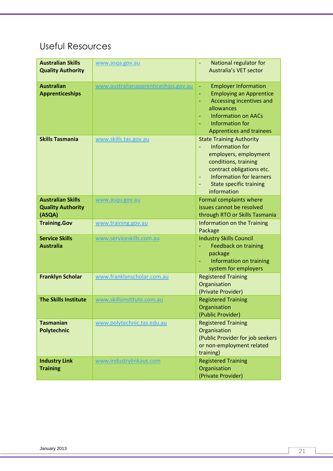# Useful Resources

| <b>Australian Skills</b><br><b>Quality Authority</b>           | www.asqa.gov.au                      | National regulator for<br><b>Australia's VET sector</b>                                                                                                                                                                           |
|----------------------------------------------------------------|--------------------------------------|-----------------------------------------------------------------------------------------------------------------------------------------------------------------------------------------------------------------------------------|
| <b>Australian</b><br><b>Apprenticeships</b>                    | www.australianapprenticeships.gov.au | <b>Employer Information</b><br>÷,<br><b>Employing an Apprentice</b><br>÷,<br>Accessing incentives and<br>allowances<br><b>Information on AACs</b><br>Information for<br><b>Apprentices and trainees</b>                           |
| <b>Skills Tasmania</b>                                         | www.skills.tas.gov.au                | <b>State Training Authority</b><br><b>Information for</b><br>÷,<br>employers, employment<br>conditions, training<br>contract obligations etc.<br><b>Information for learners</b><br><b>State specific training</b><br>information |
| <b>Australian Skills</b><br><b>Quality Authority</b><br>(ASQA) | www.asqu.gov.au                      | Formal complaints where<br>issues cannot be resolved<br>through RTO or Skills Tasmania                                                                                                                                            |
| <b>Training.Gov</b>                                            | www.training.gov.au                  | Information on the Training<br>Package                                                                                                                                                                                            |
| <b>Service Skills</b><br><b>Australia</b>                      | www.serviceskills.com.au             | <b>Industry Skills Council</b><br><b>Feedback on training</b><br>package<br>Information on training<br>system for employers                                                                                                       |
| <b>Franklyn Scholar</b>                                        | www.franklynscholar.com.au           | <b>Registered Training</b><br>Organisation<br>(Private Provider)                                                                                                                                                                  |
| <b>The Skills Institute</b>                                    | www.skillsinstitute.com.au           | <b>Registered Training</b><br>Organisation<br>(Public Provider)                                                                                                                                                                   |
| <b>Tasmanian</b><br><b>Polytechnic</b>                         | www.polytechnic.tas.edu.au           | <b>Registered Training</b><br>Organisation<br>(Public Provider for job seekers<br>or non-employment related<br>training)                                                                                                          |
| <b>Industry Link</b><br><b>Training</b>                        | www.industrylinkaus.com              | <b>Registered Training</b><br>Organisation<br>(Private Provider)                                                                                                                                                                  |